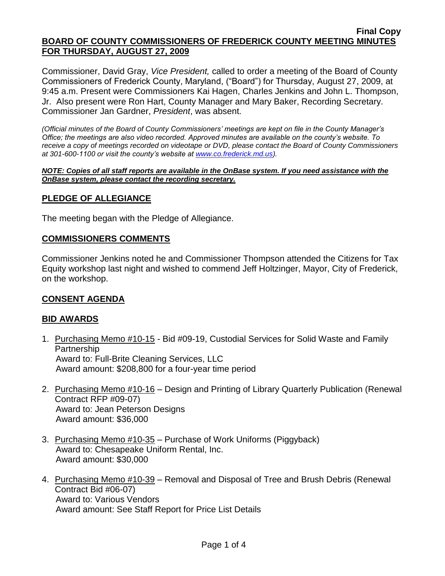Commissioner, David Gray, *Vice President,* called to order a meeting of the Board of County Commissioners of Frederick County, Maryland, ("Board") for Thursday, August 27, 2009, at 9:45 a.m. Present were Commissioners Kai Hagen, Charles Jenkins and John L. Thompson, Jr. Also present were Ron Hart, County Manager and Mary Baker, Recording Secretary. Commissioner Jan Gardner, *President*, was absent.

*(Official minutes of the Board of County Commissioners' meetings are kept on file in the County Manager's Office; the meetings are also video recorded. Approved minutes are available on the county's website. To receive a copy of meetings recorded on videotape or DVD, please contact the Board of County Commissioners at 301-600-1100 or visit the county's website at [www.co.frederick.md.us\)](http://www.co.frederick.md.us/).*

#### *NOTE: Copies of all staff reports are available in the OnBase system. If you need assistance with the OnBase system, please contact the recording secretary.*

# **PLEDGE OF ALLEGIANCE**

The meeting began with the Pledge of Allegiance.

### **COMMISSIONERS COMMENTS**

Commissioner Jenkins noted he and Commissioner Thompson attended the Citizens for Tax Equity workshop last night and wished to commend Jeff Holtzinger, Mayor, City of Frederick, on the workshop.

### **CONSENT AGENDA**

### **BID AWARDS**

- 1. Purchasing Memo #10-15 Bid #09-19, Custodial Services for Solid Waste and Family **Partnership**  Award to: Full-Brite Cleaning Services, LLC Award amount: \$208,800 for a four-year time period
- 2. Purchasing Memo #10-16 Design and Printing of Library Quarterly Publication (Renewal Contract RFP #09-07) Award to: Jean Peterson Designs Award amount: \$36,000
- 3. Purchasing Memo #10-35 Purchase of Work Uniforms (Piggyback) Award to: Chesapeake Uniform Rental, Inc. Award amount: \$30,000
- 4. Purchasing Memo #10-39 Removal and Disposal of Tree and Brush Debris (Renewal Contract Bid #06-07) Award to: Various Vendors Award amount: See Staff Report for Price List Details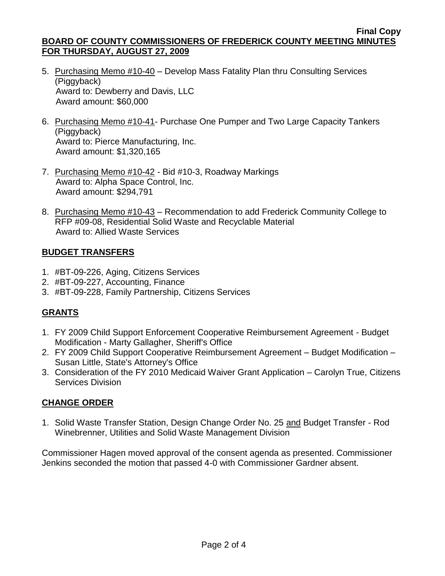- 5. Purchasing Memo #10-40 Develop Mass Fatality Plan thru Consulting Services (Piggyback) Award to: Dewberry and Davis, LLC Award amount: \$60,000
- 6. Purchasing Memo #10-41- Purchase One Pumper and Two Large Capacity Tankers (Piggyback) Award to: Pierce Manufacturing, Inc. Award amount: \$1,320,165
- 7. Purchasing Memo #10-42 Bid #10-3, Roadway Markings Award to: Alpha Space Control, Inc. Award amount: \$294,791
- 8. Purchasing Memo #10-43 Recommendation to add Frederick Community College to RFP #09-08, Residential Solid Waste and Recyclable Material Award to: Allied Waste Services

# **BUDGET TRANSFERS**

- 1. #BT-09-226, Aging, Citizens Services
- 2. #BT-09-227, Accounting, Finance
- 3. #BT-09-228, Family Partnership, Citizens Services

# **GRANTS**

- 1. FY 2009 Child Support Enforcement Cooperative Reimbursement Agreement Budget Modification - Marty Gallagher, Sheriff's Office
- 2. FY 2009 Child Support Cooperative Reimbursement Agreement Budget Modification Susan Little, State's Attorney's Office
- 3. Consideration of the FY 2010 Medicaid Waiver Grant Application Carolyn True, Citizens Services Division

# **CHANGE ORDER**

1. Solid Waste Transfer Station, Design Change Order No. 25 and Budget Transfer - Rod Winebrenner, Utilities and Solid Waste Management Division

Commissioner Hagen moved approval of the consent agenda as presented. Commissioner Jenkins seconded the motion that passed 4-0 with Commissioner Gardner absent.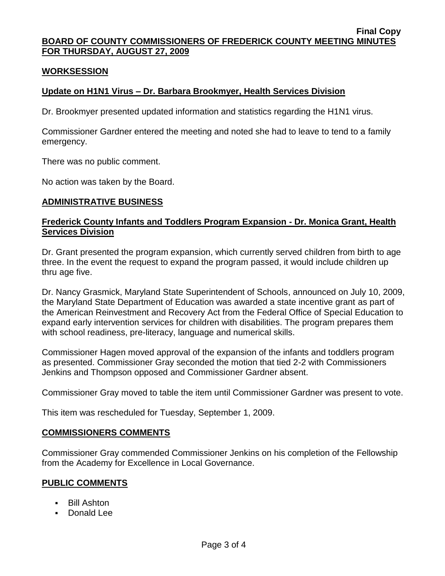### **WORKSESSION**

### **Update on H1N1 Virus – Dr. Barbara Brookmyer, Health Services Division**

Dr. Brookmyer presented updated information and statistics regarding the H1N1 virus.

Commissioner Gardner entered the meeting and noted she had to leave to tend to a family emergency.

There was no public comment.

No action was taken by the Board.

### **ADMINISTRATIVE BUSINESS**

### **Frederick County Infants and Toddlers Program Expansion - Dr. Monica Grant, Health Services Division**

Dr. Grant presented the program expansion, which currently served children from birth to age three. In the event the request to expand the program passed, it would include children up thru age five.

Dr. Nancy Grasmick, Maryland State Superintendent of Schools, announced on July 10, 2009, the Maryland State Department of Education was awarded a state incentive grant as part of the American Reinvestment and Recovery Act from the Federal Office of Special Education to expand early intervention services for children with disabilities. The program prepares them with school readiness, pre-literacy, language and numerical skills.

Commissioner Hagen moved approval of the expansion of the infants and toddlers program as presented. Commissioner Gray seconded the motion that tied 2-2 with Commissioners Jenkins and Thompson opposed and Commissioner Gardner absent.

Commissioner Gray moved to table the item until Commissioner Gardner was present to vote.

This item was rescheduled for Tuesday, September 1, 2009.

#### **COMMISSIONERS COMMENTS**

Commissioner Gray commended Commissioner Jenkins on his completion of the Fellowship from the Academy for Excellence in Local Governance.

### **PUBLIC COMMENTS**

- Bill Ashton
- **Donald Lee**